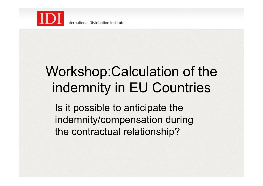

# Workshop:Calculation of the indemnity in EU Countries

Is it possible to anticipate the indemnity/compensation during the contractual relationship?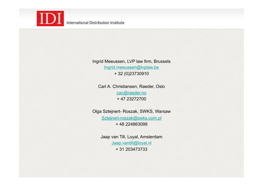

Ingrid Meeussen, LVP law firm, Brussels Ingrid.meeussen@lvplaw.be + 32 (0)23730910

Carl A. Christiansen, Raeder, Oslo cac@raeder.no + 47 23272700

Olga Sztejnert- Roszak, SWKS, Warsaw Sztejnert-roszak@swks.com.pl + 48 224863099

> Jaap van Till, Loyal, Amsterdam Jaap.vantill@loyal.nl + 31 203473733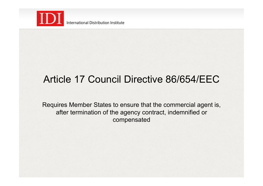

International Distribution Institute

### Article 17 Council Directive 86/654/EEC

Requires Member States to ensure that the commercial agent is, after termination of the agency contract, indemnified or compensated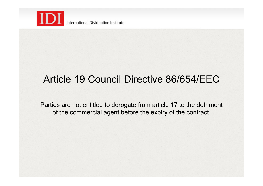

International Distribution Institute

#### Article 19 Council Directive 86/654/EEC

Parties are not entitled to derogate from article 17 to the detriment of the commercial agent before the expiry of the contract.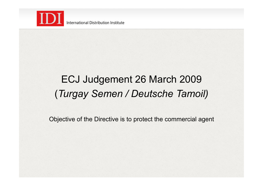

# ECJ Judgement 26 March 2009 (*Turgay Semen / Deutsche Tamoil)*

Objective of the Directive is to protect the commercial agent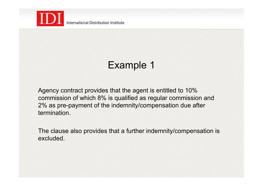

# Example 1

Agency contract provides that the agent is entitled to 10% commission of which 8% is qualified as regular commission and 2% as pre-payment of the indemnity/compensation due after termination.

The clause also provides that a further indemnity/compensation is excluded.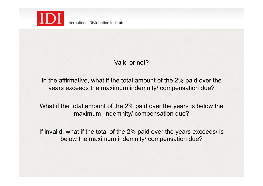

#### Valid or not?

In the affirmative, what if the total amount of the 2% paid over the years exceeds the maximum indemnity/ compensation due?

What if the total amount of the 2% paid over the years is below the maximum indemnity/ compensation due?

If invalid, what if the total of the 2% paid over the years exceeds/ is below the maximum indemnity/ compensation due?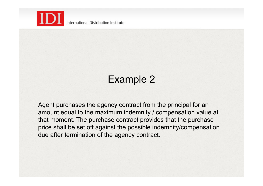

# Example 2

Agent purchases the agency contract from the principal for an amount equal to the maximum indemnity / compensation value at that moment. The purchase contract provides that the purchase price shall be set off against the possible indemnity/compensation due after termination of the agency contract.